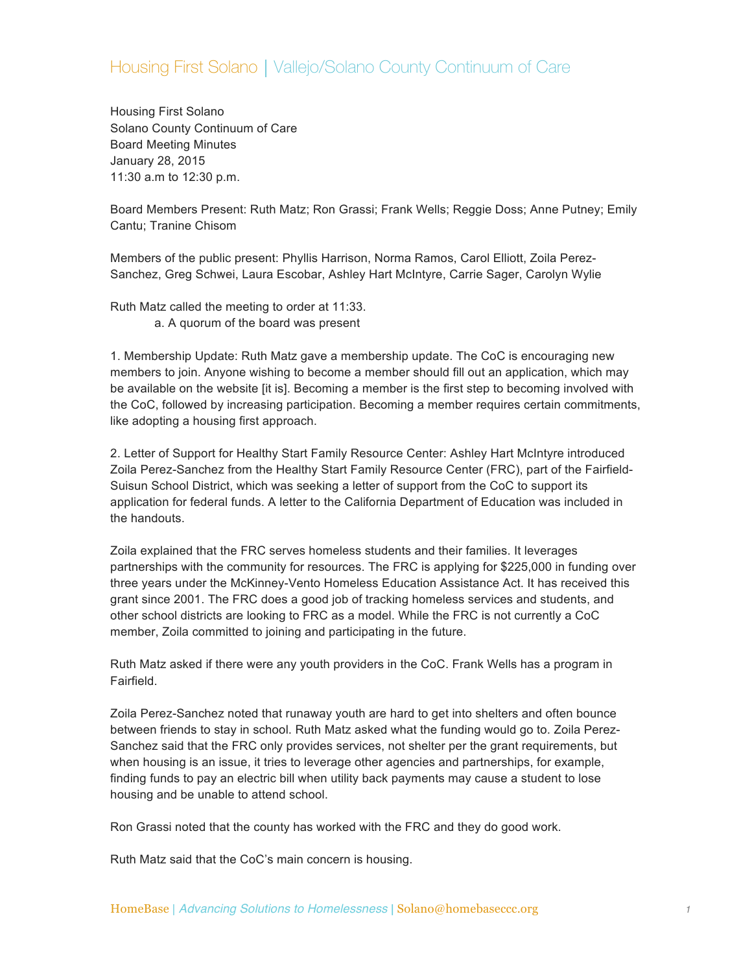## Housing First Solano | Vallejo/Solano County Continuum of Care

Housing First Solano Solano County Continuum of Care Board Meeting Minutes January 28, 2015 11:30 a.m to 12:30 p.m.

Board Members Present: Ruth Matz; Ron Grassi; Frank Wells; Reggie Doss; Anne Putney; Emily Cantu; Tranine Chisom

Members of the public present: Phyllis Harrison, Norma Ramos, Carol Elliott, Zoila Perez-Sanchez, Greg Schwei, Laura Escobar, Ashley Hart McIntyre, Carrie Sager, Carolyn Wylie

Ruth Matz called the meeting to order at 11:33. a. A quorum of the board was present

1. Membership Update: Ruth Matz gave a membership update. The CoC is encouraging new members to join. Anyone wishing to become a member should fill out an application, which may be available on the website [it is]. Becoming a member is the first step to becoming involved with the CoC, followed by increasing participation. Becoming a member requires certain commitments, like adopting a housing first approach.

2. Letter of Support for Healthy Start Family Resource Center: Ashley Hart McIntyre introduced Zoila Perez-Sanchez from the Healthy Start Family Resource Center (FRC), part of the Fairfield-Suisun School District, which was seeking a letter of support from the CoC to support its application for federal funds. A letter to the California Department of Education was included in the handouts.

Zoila explained that the FRC serves homeless students and their families. It leverages partnerships with the community for resources. The FRC is applying for \$225,000 in funding over three years under the McKinney-Vento Homeless Education Assistance Act. It has received this grant since 2001. The FRC does a good job of tracking homeless services and students, and other school districts are looking to FRC as a model. While the FRC is not currently a CoC member, Zoila committed to joining and participating in the future.

Ruth Matz asked if there were any youth providers in the CoC. Frank Wells has a program in Fairfield.

Zoila Perez-Sanchez noted that runaway youth are hard to get into shelters and often bounce between friends to stay in school. Ruth Matz asked what the funding would go to. Zoila Perez-Sanchez said that the FRC only provides services, not shelter per the grant requirements, but when housing is an issue, it tries to leverage other agencies and partnerships, for example, finding funds to pay an electric bill when utility back payments may cause a student to lose housing and be unable to attend school.

Ron Grassi noted that the county has worked with the FRC and they do good work.

Ruth Matz said that the CoC's main concern is housing.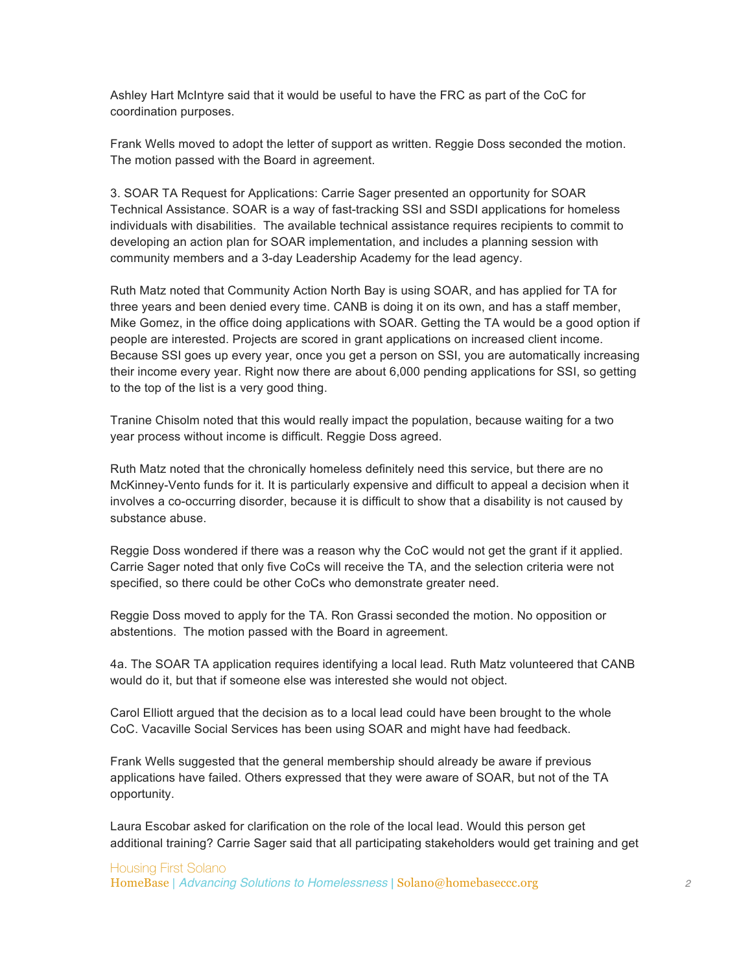Ashley Hart McIntyre said that it would be useful to have the FRC as part of the CoC for coordination purposes.

Frank Wells moved to adopt the letter of support as written. Reggie Doss seconded the motion. The motion passed with the Board in agreement.

3. SOAR TA Request for Applications: Carrie Sager presented an opportunity for SOAR Technical Assistance. SOAR is a way of fast-tracking SSI and SSDI applications for homeless individuals with disabilities. The available technical assistance requires recipients to commit to developing an action plan for SOAR implementation, and includes a planning session with community members and a 3-day Leadership Academy for the lead agency.

Ruth Matz noted that Community Action North Bay is using SOAR, and has applied for TA for three years and been denied every time. CANB is doing it on its own, and has a staff member, Mike Gomez, in the office doing applications with SOAR. Getting the TA would be a good option if people are interested. Projects are scored in grant applications on increased client income. Because SSI goes up every year, once you get a person on SSI, you are automatically increasing their income every year. Right now there are about 6,000 pending applications for SSI, so getting to the top of the list is a very good thing.

Tranine Chisolm noted that this would really impact the population, because waiting for a two year process without income is difficult. Reggie Doss agreed.

Ruth Matz noted that the chronically homeless definitely need this service, but there are no McKinney-Vento funds for it. It is particularly expensive and difficult to appeal a decision when it involves a co-occurring disorder, because it is difficult to show that a disability is not caused by substance abuse.

Reggie Doss wondered if there was a reason why the CoC would not get the grant if it applied. Carrie Sager noted that only five CoCs will receive the TA, and the selection criteria were not specified, so there could be other CoCs who demonstrate greater need.

Reggie Doss moved to apply for the TA. Ron Grassi seconded the motion. No opposition or abstentions. The motion passed with the Board in agreement.

4a. The SOAR TA application requires identifying a local lead. Ruth Matz volunteered that CANB would do it, but that if someone else was interested she would not object.

Carol Elliott argued that the decision as to a local lead could have been brought to the whole CoC. Vacaville Social Services has been using SOAR and might have had feedback.

Frank Wells suggested that the general membership should already be aware if previous applications have failed. Others expressed that they were aware of SOAR, but not of the TA opportunity.

Laura Escobar asked for clarification on the role of the local lead. Would this person get additional training? Carrie Sager said that all participating stakeholders would get training and get